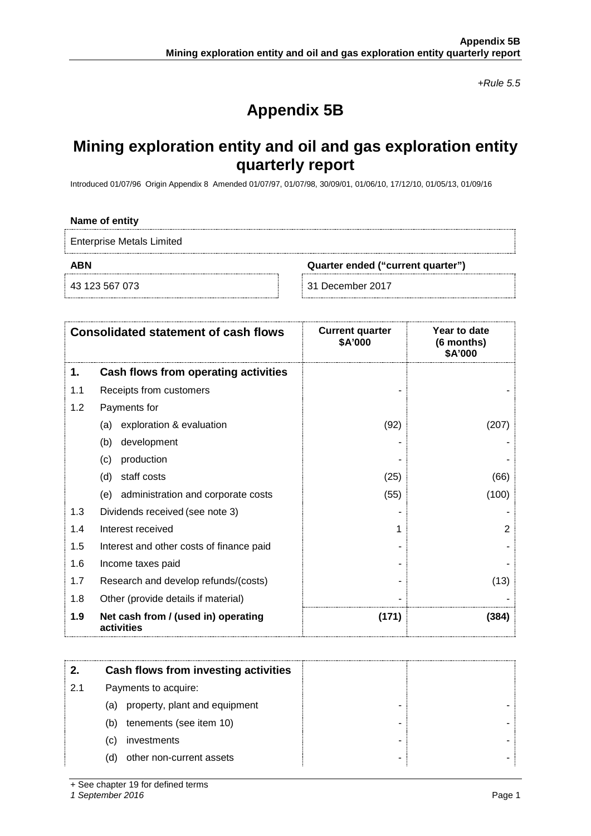*+Rule 5.5*

# **Appendix 5B**

# **Mining exploration entity and oil and gas exploration entity quarterly report**

Introduced 01/07/96 Origin Appendix 8 Amended 01/07/97, 01/07/98, 30/09/01, 01/06/10, 17/12/10, 01/05/13, 01/09/16

#### **Name of entity**

Enterprise Metals Limited

**ABN Quarter ended ("current quarter")**

43 123 567 073 31 December 2017

| <b>Consolidated statement of cash flows</b> |                                                   | <b>Current quarter</b><br>\$A'000 | Year to date<br>(6 months)<br>\$A'000 |
|---------------------------------------------|---------------------------------------------------|-----------------------------------|---------------------------------------|
| 1.                                          | Cash flows from operating activities              |                                   |                                       |
| 1.1                                         | Receipts from customers                           |                                   |                                       |
| 1.2                                         | Payments for                                      |                                   |                                       |
|                                             | exploration & evaluation<br>(a)                   | (92)                              | (207                                  |
|                                             | development<br>(b)                                |                                   |                                       |
|                                             | production<br>(c)                                 |                                   |                                       |
|                                             | staff costs<br>(d)                                | (25)                              | (66)                                  |
|                                             | administration and corporate costs<br>(e)         | (55)                              | (100)                                 |
| 1.3                                         | Dividends received (see note 3)                   |                                   |                                       |
| 1.4                                         | Interest received                                 |                                   | 2                                     |
| 1.5                                         | Interest and other costs of finance paid          |                                   |                                       |
| 1.6                                         | Income taxes paid                                 |                                   |                                       |
| 1.7                                         | Research and develop refunds/(costs)              |                                   | (13)                                  |
| 1.8                                         | Other (provide details if material)               |                                   |                                       |
| 1.9                                         | Net cash from / (used in) operating<br>activities | (171)                             | (384)                                 |

|     | Cash flows from investing activities |  |
|-----|--------------------------------------|--|
| 2.1 | Payments to acquire:                 |  |
|     | property, plant and equipment<br>(a) |  |
|     | tenements (see item 10)<br>(b)       |  |
|     | investments<br>(C)                   |  |
|     | other non-current assets<br>(d)      |  |

+ See chapter 19 for defined terms

*1 September 2016* Page 1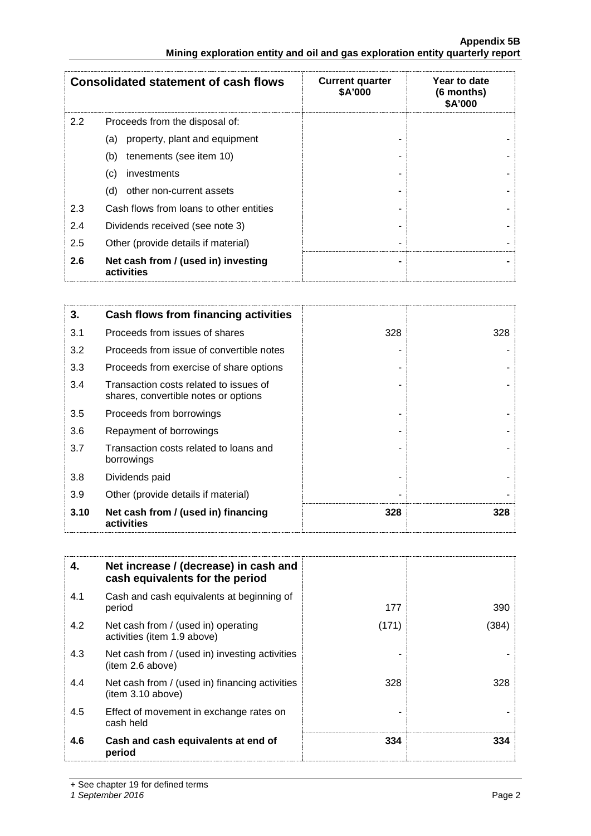# **Appendix 5B Mining exploration entity and oil and gas exploration entity quarterly report**

| <b>Consolidated statement of cash flows</b> |                                                   | <b>Current quarter</b><br>\$A'000 | Year to date<br>$(6$ months)<br>\$A'000 |
|---------------------------------------------|---------------------------------------------------|-----------------------------------|-----------------------------------------|
| $2.2^{\circ}$                               | Proceeds from the disposal of:                    |                                   |                                         |
|                                             | property, plant and equipment<br>(a)              |                                   |                                         |
|                                             | tenements (see item 10)<br>(b)                    |                                   |                                         |
|                                             | investments<br>(c)                                |                                   |                                         |
|                                             | other non-current assets<br>(d)                   |                                   |                                         |
| 2.3                                         | Cash flows from loans to other entities           |                                   |                                         |
| 2.4                                         | Dividends received (see note 3)                   |                                   |                                         |
| 2.5                                         | Other (provide details if material)               |                                   |                                         |
| 2.6                                         | Net cash from / (used in) investing<br>activities |                                   |                                         |

| 3.   | <b>Cash flows from financing activities</b>                                    |     |     |
|------|--------------------------------------------------------------------------------|-----|-----|
| 3.1  | Proceeds from issues of shares                                                 | 328 | 328 |
| 3.2  | Proceeds from issue of convertible notes                                       |     |     |
| 3.3  | Proceeds from exercise of share options                                        |     |     |
| 3.4  | Transaction costs related to issues of<br>shares, convertible notes or options |     |     |
| 3.5  | Proceeds from borrowings                                                       |     |     |
| 3.6  | Repayment of borrowings                                                        |     |     |
| 3.7  | Transaction costs related to loans and<br>borrowings                           |     |     |
| 3.8  | Dividends paid                                                                 |     |     |
| 3.9  | Other (provide details if material)                                            |     |     |
| 3.10 | Net cash from / (used in) financing<br>activities                              | 328 | 328 |

| 4.  | Net increase / (decrease) in cash and<br>cash equivalents for the period |       |     |
|-----|--------------------------------------------------------------------------|-------|-----|
| 4.1 | Cash and cash equivalents at beginning of<br>period                      | 177   | 390 |
| 4.2 | Net cash from / (used in) operating<br>activities (item 1.9 above)       | (171) | 384 |
| 4.3 | Net cash from / (used in) investing activities<br>(item 2.6 above)       |       |     |
| 4.4 | Net cash from / (used in) financing activities<br>item 3.10 above)       | 328   | 328 |
| 4.5 | Effect of movement in exchange rates on<br>cash held                     |       |     |
| 4.6 | Cash and cash equivalents at end of<br>period                            | 334   | 334 |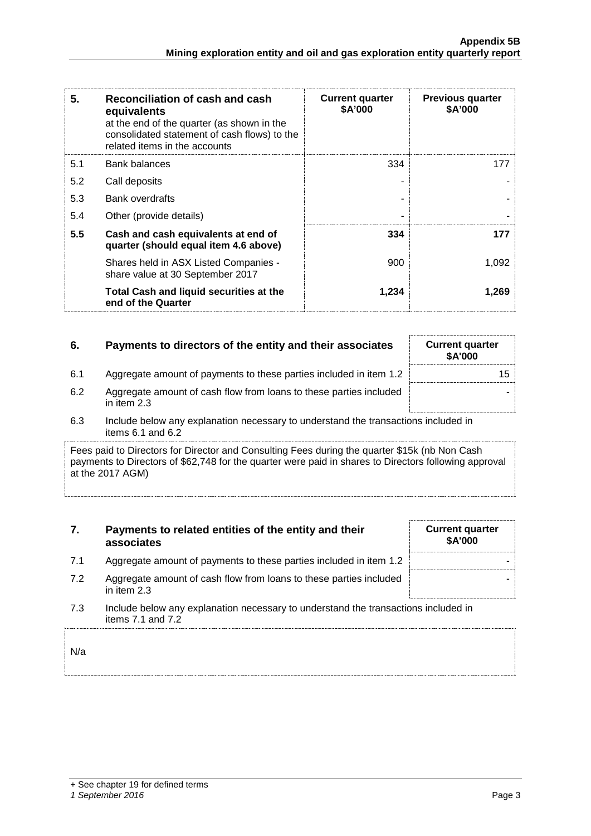| 5.  | Reconciliation of cash and cash<br>equivalents<br>at the end of the quarter (as shown in the<br>consolidated statement of cash flows) to the<br>related items in the accounts | <b>Current quarter</b><br><b>\$A'000</b> | <b>Previous quarter</b><br>\$A'000 |
|-----|-------------------------------------------------------------------------------------------------------------------------------------------------------------------------------|------------------------------------------|------------------------------------|
| 5.1 | Bank balances                                                                                                                                                                 | 334                                      | 177                                |
| 5.2 | Call deposits                                                                                                                                                                 |                                          |                                    |
| 5.3 | <b>Bank overdrafts</b>                                                                                                                                                        |                                          |                                    |
| 5.4 | Other (provide details)                                                                                                                                                       |                                          |                                    |
| 5.5 | Cash and cash equivalents at end of<br>quarter (should equal item 4.6 above)                                                                                                  | 334                                      | 177                                |
|     | Shares held in ASX Listed Companies -<br>share value at 30 September 2017                                                                                                     | 900                                      | 1,092                              |
|     | Total Cash and liquid securities at the<br>end of the Quarter                                                                                                                 | 1,234                                    | 1,269                              |

# **6.** Payments to directors of the entity and their associates

6.1 Aggregate amount of payments to these parties included in item 1.2

| <b>Current quarter</b><br>\$A'000 |    |
|-----------------------------------|----|
|                                   | 15 |
|                                   |    |

- 6.2 Aggregate amount of cash flow from loans to these parties included in item 2.3
- 6.3 Include below any explanation necessary to understand the transactions included in items 6.1 and 6.2

Fees paid to Directors for Director and Consulting Fees during the quarter \$15k (nb Non Cash payments to Directors of \$62,748 for the quarter were paid in shares to Directors following approval at the 2017 AGM)

# **7. Payments to related entities of the entity and their associates**

- 7.1 Aggregate amount of payments to these parties included in item 1.2
- 7.2 Aggregate amount of cash flow from loans to these parties included in item 2.3
- 7.3 Include below any explanation necessary to understand the transactions included in items 7.1 and 7.2

N/a

| <b>Current quarter</b><br>\$A'000 |  |  |  |
|-----------------------------------|--|--|--|
|                                   |  |  |  |
|                                   |  |  |  |
|                                   |  |  |  |

# *1 September 2016* Page 3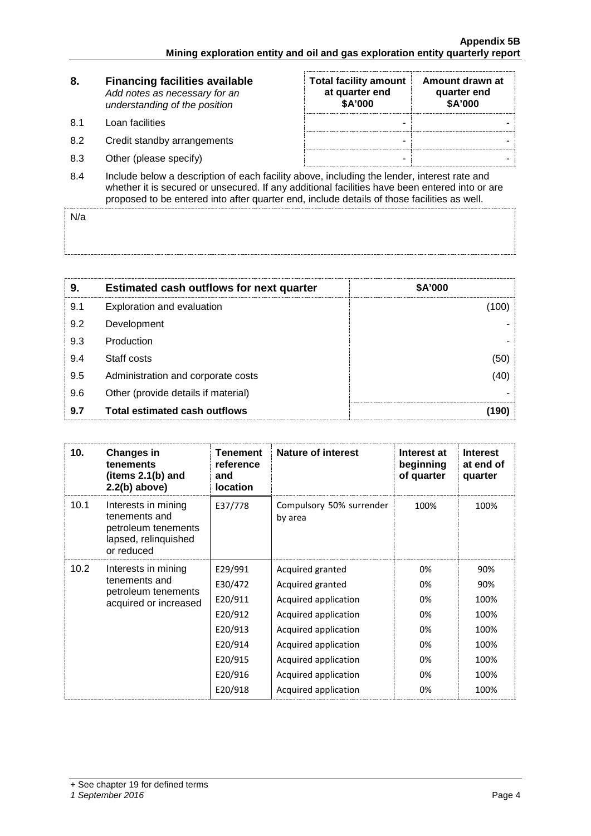| 8.  | <b>Financing facilities available</b><br>Add notes as necessary for an<br>understanding of the position                                                                                       | <b>Total facility amount</b><br>at quarter end<br>\$A'000 | Amount drawn at<br>quarter end<br>\$A'000 |
|-----|-----------------------------------------------------------------------------------------------------------------------------------------------------------------------------------------------|-----------------------------------------------------------|-------------------------------------------|
| 8.1 | Loan facilities                                                                                                                                                                               | -                                                         |                                           |
| 8.2 | Credit standby arrangements                                                                                                                                                                   |                                                           |                                           |
| 8.3 | Other (please specify)                                                                                                                                                                        | -                                                         |                                           |
| 8.4 | Include below a description of each facility above, including the lender, interest rate and<br>whether it is secured or unsecured. If any additional facilities have been entered into or are |                                                           |                                           |

proposed to be entered into after quarter end, include details of those facilities as well.

N/a

| 9.  | <b>Estimated cash outflows for next quarter</b> | \$A'000 |
|-----|-------------------------------------------------|---------|
| 9.1 | Exploration and evaluation                      |         |
| 9.2 | Development                                     |         |
| 9.3 | Production                                      |         |
| 9.4 | Staff costs                                     | 50      |
| 9.5 | Administration and corporate costs              |         |
| 9.6 | Other (provide details if material)             |         |
| 9.7 | <b>Total estimated cash outflows</b>            |         |

| 10.               | <b>Changes in</b><br>tenements<br>(items 2.1(b) and<br>$2.2(b)$ above)                            | Tenement<br>reference<br>and<br><b>location</b> | <b>Nature of interest</b>           | Interest at<br>beginning<br>of quarter | <b>Interest</b><br>at end of<br>quarter |
|-------------------|---------------------------------------------------------------------------------------------------|-------------------------------------------------|-------------------------------------|----------------------------------------|-----------------------------------------|
| 10.1              | Interests in mining<br>tenements and<br>petroleum tenements<br>lapsed, relinquished<br>or reduced | E37/778                                         | Compulsory 50% surrender<br>by area | 100%                                   | 100%                                    |
| 10.2 <sub>1</sub> | Interests in mining<br>tenements and<br>petroleum tenements<br>acquired or increased              | E29/991                                         | Acquired granted                    | 0%                                     | 90%                                     |
|                   |                                                                                                   | E30/472                                         | Acquired granted                    | 0%                                     | 90%                                     |
|                   |                                                                                                   | E20/911                                         | Acquired application                | 0%                                     | 100%                                    |
|                   |                                                                                                   | E20/912                                         | Acquired application                | 0%                                     | 100%                                    |
|                   |                                                                                                   | E20/913                                         | Acquired application                | 0%                                     | 100%                                    |
|                   |                                                                                                   | E20/914                                         | Acquired application                | 0%                                     | 100%                                    |
|                   |                                                                                                   | E20/915                                         | Acquired application                | 0%                                     | 100%                                    |
|                   |                                                                                                   | E20/916                                         | Acquired application                | 0%                                     | 100%                                    |
|                   |                                                                                                   | E20/918                                         | Acquired application                | 0%                                     | 100%                                    |